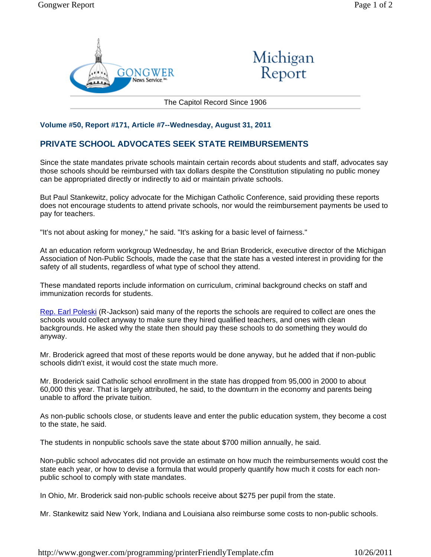



The Capitol Record Since 1906

## **Volume #50, Report #171, Article #7--Wednesday, August 31, 2011**

## **PRIVATE SCHOOL ADVOCATES SEEK STATE REIMBURSEMENTS**

Since the state mandates private schools maintain certain records about students and staff, advocates say those schools should be reimbursed with tax dollars despite the Constitution stipulating no public money can be appropriated directly or indirectly to aid or maintain private schools.

But Paul Stankewitz, policy advocate for the Michigan Catholic Conference, said providing these reports does not encourage students to attend private schools, nor would the reimbursement payments be used to pay for teachers.

"It's not about asking for money," he said. "It's asking for a basic level of fairness."

At an education reform workgroup Wednesday, he and Brian Broderick, executive director of the Michigan Association of Non-Public Schools, made the case that the state has a vested interest in providing for the safety of all students, regardless of what type of school they attend.

These mandated reports include information on curriculum, criminal background checks on staff and immunization records for students.

Rep. Earl Poleski (R-Jackson) said many of the reports the schools are required to collect are ones the schools would collect anyway to make sure they hired qualified teachers, and ones with clean backgrounds. He asked why the state then should pay these schools to do something they would do anyway.

Mr. Broderick agreed that most of these reports would be done anyway, but he added that if non-public schools didn't exist, it would cost the state much more.

Mr. Broderick said Catholic school enrollment in the state has dropped from 95,000 in 2000 to about 60,000 this year. That is largely attributed, he said, to the downturn in the economy and parents being unable to afford the private tuition.

As non-public schools close, or students leave and enter the public education system, they become a cost to the state, he said.

The students in nonpublic schools save the state about \$700 million annually, he said.

Non-public school advocates did not provide an estimate on how much the reimbursements would cost the state each year, or how to devise a formula that would properly quantify how much it costs for each nonpublic school to comply with state mandates.

In Ohio, Mr. Broderick said non-public schools receive about \$275 per pupil from the state.

Mr. Stankewitz said New York, Indiana and Louisiana also reimburse some costs to non-public schools.